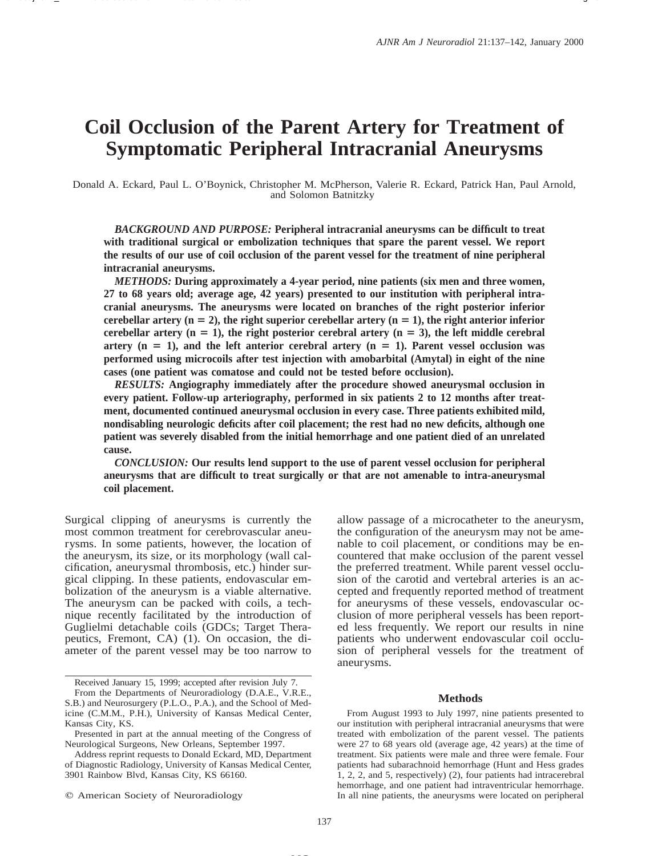# **Coil Occlusion of the Parent Artery for Treatment of Symptomatic Peripheral Intracranial Aneurysms**

Donald A. Eckard, Paul L. O'Boynick, Christopher M. McPherson, Valerie R. Eckard, Patrick Han, Paul Arnold, and Solomon Batnitzky

*BACKGROUND AND PURPOSE:* **Peripheral intracranial aneurysms can be difficult to treat with traditional surgical or embolization techniques that spare the parent vessel. We report the results of our use of coil occlusion of the parent vessel for the treatment of nine peripheral intracranial aneurysms.**

*METHODS:* **During approximately a 4-year period, nine patients (six men and three women, 27 to 68 years old; average age, 42 years) presented to our institution with peripheral intracranial aneurysms. The aneurysms were located on branches of the right posterior inferior** cerebellar artery  $(n = 2)$ , the right superior cerebellar artery  $(n = 1)$ , the right anterior inferior cerebellar artery  $(n = 1)$ , the right posterior cerebral artery  $(n = 3)$ , the left middle cerebral artery  $(n = 1)$ , and the left anterior cerebral artery  $(n = 1)$ . Parent vessel occlusion was **performed using microcoils after test injection with amobarbital (Amytal) in eight of the nine cases (one patient was comatose and could not be tested before occlusion).**

*RESULTS:* **Angiography immediately after the procedure showed aneurysmal occlusion in every patient. Follow-up arteriography, performed in six patients 2 to 12 months after treatment, documented continued aneurysmal occlusion in every case. Three patients exhibited mild, nondisabling neurologic deficits after coil placement; the rest had no new deficits, although one patient was severely disabled from the initial hemorrhage and one patient died of an unrelated cause.**

*CONCLUSION:* **Our results lend support to the use of parent vessel occlusion for peripheral aneurysms that are difficult to treat surgically or that are not amenable to intra-aneurysmal coil placement.**

Surgical clipping of aneurysms is currently the most common treatment for cerebrovascular aneurysms. In some patients, however, the location of the aneurysm, its size, or its morphology (wall calcification, aneurysmal thrombosis, etc.) hinder surgical clipping. In these patients, endovascular embolization of the aneurysm is a viable alternative. The aneurysm can be packed with coils, a technique recently facilitated by the introduction of Guglielmi detachable coils (GDCs; Target Therapeutics, Fremont, CA) (1). On occasion, the diameter of the parent vessel may be too narrow to

 $Q$  American Society of Neuroradiology

allow passage of a microcatheter to the aneurysm, the configuration of the aneurysm may not be amenable to coil placement, or conditions may be encountered that make occlusion of the parent vessel the preferred treatment. While parent vessel occlusion of the carotid and vertebral arteries is an accepted and frequently reported method of treatment for aneurysms of these vessels, endovascular occlusion of more peripheral vessels has been reported less frequently. We report our results in nine patients who underwent endovascular coil occlusion of peripheral vessels for the treatment of aneurysms.

## **Methods**

From August 1993 to July 1997, nine patients presented to our institution with peripheral intracranial aneurysms that were treated with embolization of the parent vessel. The patients were 27 to 68 years old (average age, 42 years) at the time of treatment. Six patients were male and three were female. Four patients had subarachnoid hemorrhage (Hunt and Hess grades 1, 2, 2, and 5, respectively) (2), four patients had intracerebral hemorrhage, and one patient had intraventricular hemorrhage. In all nine patients, the aneurysms were located on peripheral

Received January 15, 1999; accepted after revision July 7.

From the Departments of Neuroradiology (D.A.E., V.R.E., S.B.) and Neurosurgery (P.L.O., P.A.), and the School of Medicine (C.M.M., P.H.), University of Kansas Medical Center, Kansas City, KS.

Presented in part at the annual meeting of the Congress of Neurological Surgeons, New Orleans, September 1997.

Address reprint requests to Donald Eckard, MD, Department of Diagnostic Radiology, University of Kansas Medical Center, 3901 Rainbow Blvd, Kansas City, KS 66160.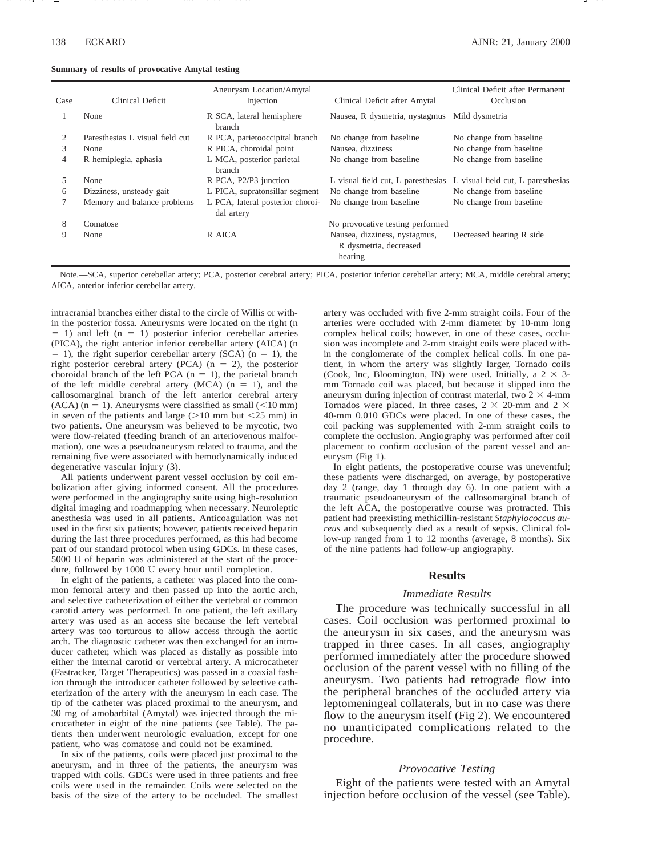|  |  |  |  | Summary of results of provocative Amytal testing |  |  |
|--|--|--|--|--------------------------------------------------|--|--|
|--|--|--|--|--------------------------------------------------|--|--|

| Case | Clinical Deficit                | Aneurysm Location/Amytal<br>Injection          | Clinical Deficit after Amytal                                      | Clinical Deficit after Permanent<br>Occlusion |
|------|---------------------------------|------------------------------------------------|--------------------------------------------------------------------|-----------------------------------------------|
|      | None                            | R SCA, lateral hemisphere<br>branch            | Nausea, R dysmetria, nystagmus                                     | Mild dysmetria                                |
|      | Paresthesias L visual field cut | R PCA, parietooccipital branch                 | No change from baseline                                            | No change from baseline                       |
| 3    | None                            | R PICA, choroidal point                        | Nausea, dizziness                                                  | No change from baseline                       |
| 4    | R hemiplegia, aphasia           | L MCA, posterior parietal<br>branch            | No change from baseline                                            | No change from baseline                       |
| 5    | None                            | R PCA, P2/P3 junction                          | L visual field cut, L paresthesias                                 | L visual field cut, L paresthesias            |
| 6    | Dizziness, unsteady gait        | L PICA, supratonsillar segment                 | No change from baseline                                            | No change from baseline                       |
|      | Memory and balance problems     | L PCA, lateral posterior choroi-<br>dal artery | No change from baseline                                            | No change from baseline                       |
| 8    | Comatose                        |                                                | No provocative testing performed                                   |                                               |
| 9    | None                            | R AICA                                         | Nausea, dizziness, nystagmus,<br>R dysmetria, decreased<br>hearing | Decreased hearing R side                      |

Note.—SCA, superior cerebellar artery; PCA, posterior cerebral artery; PICA, posterior inferior cerebellar artery; MCA, middle cerebral artery; AICA, anterior inferior cerebellar artery.

intracranial branches either distal to the circle of Willis or within the posterior fossa. Aneurysms were located on the right (n  $= 1$ ) and left (n = 1) posterior inferior cerebellar arteries (PICA), the right anterior inferior cerebellar artery (AICA) (n  $= 1$ ), the right superior cerebellar artery (SCA) (n = 1), the right posterior cerebral artery (PCA) ( $n = 2$ ), the posterior choroidal branch of the left PCA  $(n = 1)$ , the parietal branch of the left middle cerebral artery (MCA)  $(n = 1)$ , and the callosomarginal branch of the left anterior cerebral artery  $(ACA)$  (n = 1). Aneurysms were classified as small  $(<10$  mm) in seven of the patients and large  $(>10$  mm but  $<25$  mm) in two patients. One aneurysm was believed to be mycotic, two were flow-related (feeding branch of an arteriovenous malformation), one was a pseudoaneurysm related to trauma, and the remaining five were associated with hemodynamically induced degenerative vascular injury (3).

All patients underwent parent vessel occlusion by coil embolization after giving informed consent. All the procedures were performed in the angiography suite using high-resolution digital imaging and roadmapping when necessary. Neuroleptic anesthesia was used in all patients. Anticoagulation was not used in the first six patients; however, patients received heparin during the last three procedures performed, as this had become part of our standard protocol when using GDCs. In these cases, 5000 U of heparin was administered at the start of the procedure, followed by 1000 U every hour until completion.

In eight of the patients, a catheter was placed into the common femoral artery and then passed up into the aortic arch, and selective catheterization of either the vertebral or common carotid artery was performed. In one patient, the left axillary artery was used as an access site because the left vertebral artery was too torturous to allow access through the aortic arch. The diagnostic catheter was then exchanged for an introducer catheter, which was placed as distally as possible into either the internal carotid or vertebral artery. A microcatheter (Fastracker, Target Therapeutics) was passed in a coaxial fashion through the introducer catheter followed by selective catheterization of the artery with the aneurysm in each case. The tip of the catheter was placed proximal to the aneurysm, and 30 mg of amobarbital (Amytal) was injected through the microcatheter in eight of the nine patients (see Table). The patients then underwent neurologic evaluation, except for one patient, who was comatose and could not be examined.

In six of the patients, coils were placed just proximal to the aneurysm, and in three of the patients, the aneurysm was trapped with coils. GDCs were used in three patients and free coils were used in the remainder. Coils were selected on the basis of the size of the artery to be occluded. The smallest artery was occluded with five 2-mm straight coils. Four of the arteries were occluded with 2-mm diameter by 10-mm long complex helical coils; however, in one of these cases, occlusion was incomplete and 2-mm straight coils were placed within the conglomerate of the complex helical coils. In one patient, in whom the artery was slightly larger, Tornado coils (Cook, Inc, Bloomington, IN) were used. Initially, a  $2 \times 3$ mm Tornado coil was placed, but because it slipped into the aneurysm during injection of contrast material, two  $2 \times 4$ -mm Tornados were placed. In three cases,  $2 \times 20$ -mm and  $2 \times$ 40-mm 0.010 GDCs were placed. In one of these cases, the coil packing was supplemented with 2-mm straight coils to complete the occlusion. Angiography was performed after coil placement to confirm occlusion of the parent vessel and aneurysm (Fig 1).

In eight patients, the postoperative course was uneventful; these patients were discharged, on average, by postoperative day 2 (range, day 1 through day 6). In one patient with a traumatic pseudoaneurysm of the callosomarginal branch of the left ACA, the postoperative course was protracted. This patient had preexisting methicillin-resistant *Staphylococcus aureus* and subsequently died as a result of sepsis. Clinical follow-up ranged from 1 to 12 months (average, 8 months). Six of the nine patients had follow-up angiography.

#### **Results**

#### *Immediate Results*

The procedure was technically successful in all cases. Coil occlusion was performed proximal to the aneurysm in six cases, and the aneurysm was trapped in three cases. In all cases, angiography performed immediately after the procedure showed occlusion of the parent vessel with no filling of the aneurysm. Two patients had retrograde flow into the peripheral branches of the occluded artery via leptomeningeal collaterals, but in no case was there flow to the aneurysm itself (Fig 2). We encountered no unanticipated complications related to the procedure.

#### *Provocative Testing*

Eight of the patients were tested with an Amytal injection before occlusion of the vessel (see Table).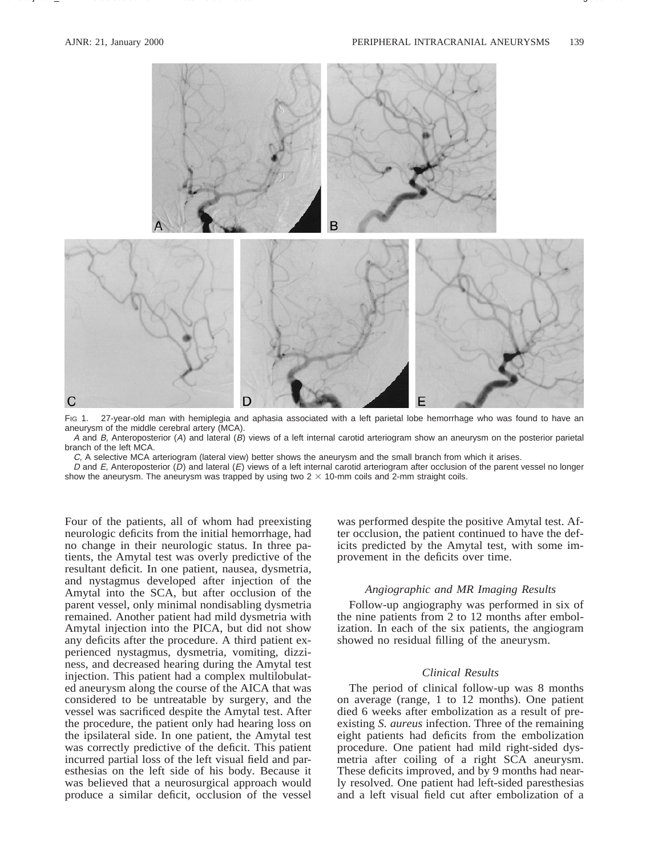

FIG 1. 27-year-old man with hemiplegia and aphasia associated with a left parietal lobe hemorrhage who was found to have an aneurysm of the middle cerebral artery (MCA).

A and B, Anteroposterior (A) and lateral (B) views of a left internal carotid arteriogram show an aneurysm on the posterior parietal branch of the left MCA.

C, A selective MCA arteriogram (lateral view) better shows the aneurysm and the small branch from which it arises.

D and E, Anteroposterior (D) and lateral (E) views of a left internal carotid arteriogram after occlusion of the parent vessel no longer show the aneurysm. The aneurysm was trapped by using two  $2 \times 10$ -mm coils and 2-mm straight coils.

Four of the patients, all of whom had preexisting neurologic deficits from the initial hemorrhage, had no change in their neurologic status. In three patients, the Amytal test was overly predictive of the resultant deficit. In one patient, nausea, dysmetria, and nystagmus developed after injection of the Amytal into the SCA, but after occlusion of the parent vessel, only minimal nondisabling dysmetria remained. Another patient had mild dysmetria with Amytal injection into the PICA, but did not show any deficits after the procedure. A third patient experienced nystagmus, dysmetria, vomiting, dizziness, and decreased hearing during the Amytal test injection. This patient had a complex multilobulated aneurysm along the course of the AICA that was considered to be untreatable by surgery, and the vessel was sacrificed despite the Amytal test. After the procedure, the patient only had hearing loss on the ipsilateral side. In one patient, the Amytal test was correctly predictive of the deficit. This patient incurred partial loss of the left visual field and paresthesias on the left side of his body. Because it was believed that a neurosurgical approach would produce a similar deficit, occlusion of the vessel

was performed despite the positive Amytal test. After occlusion, the patient continued to have the deficits predicted by the Amytal test, with some improvement in the deficits over time.

# *Angiographic and MR Imaging Results*

Follow-up angiography was performed in six of the nine patients from 2 to 12 months after embolization. In each of the six patients, the angiogram showed no residual filling of the aneurysm.

# *Clinical Results*

The period of clinical follow-up was 8 months on average (range, 1 to 12 months). One patient died 6 weeks after embolization as a result of preexisting *S. aureus* infection. Three of the remaining eight patients had deficits from the embolization procedure. One patient had mild right-sided dysmetria after coiling of a right SCA aneurysm. These deficits improved, and by 9 months had nearly resolved. One patient had left-sided paresthesias and a left visual field cut after embolization of a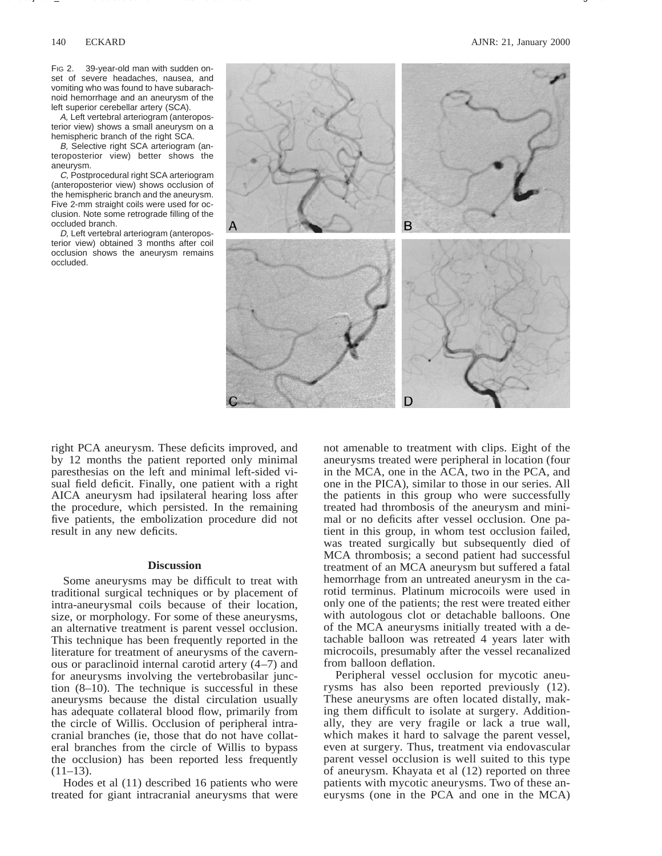FIG 2. 39-year-old man with sudden onset of severe headaches, nausea, and vomiting who was found to have subarachnoid hemorrhage and an aneurysm of the left superior cerebellar artery (SCA).

A, Left vertebral arteriogram (anteroposterior view) shows a small aneurysm on a hemispheric branch of the right SCA.

B, Selective right SCA arteriogram (anteroposterior view) better shows the aneurysm.

C, Postprocedural right SCA arteriogram (anteroposterior view) shows occlusion of the hemispheric branch and the aneurysm. Five 2-mm straight coils were used for occlusion. Note some retrograde filling of the occluded branch.

D, Left vertebral arteriogram (anteroposterior view) obtained 3 months after coil occlusion shows the aneurysm remains occluded.



right PCA aneurysm. These deficits improved, and by 12 months the patient reported only minimal paresthesias on the left and minimal left-sided visual field deficit. Finally, one patient with a right AICA aneurysm had ipsilateral hearing loss after the procedure, which persisted. In the remaining five patients, the embolization procedure did not result in any new deficits.

### **Discussion**

Some aneurysms may be difficult to treat with traditional surgical techniques or by placement of intra-aneurysmal coils because of their location, size, or morphology. For some of these aneurysms, an alternative treatment is parent vessel occlusion. This technique has been frequently reported in the literature for treatment of aneurysms of the cavernous or paraclinoid internal carotid artery (4–7) and for aneurysms involving the vertebrobasilar junction (8–10). The technique is successful in these aneurysms because the distal circulation usually has adequate collateral blood flow, primarily from the circle of Willis. Occlusion of peripheral intracranial branches (ie, those that do not have collateral branches from the circle of Willis to bypass the occlusion) has been reported less frequently  $(11-13)$ .

Hodes et al (11) described 16 patients who were treated for giant intracranial aneurysms that were

not amenable to treatment with clips. Eight of the aneurysms treated were peripheral in location (four in the MCA, one in the ACA, two in the PCA, and one in the PICA), similar to those in our series. All the patients in this group who were successfully treated had thrombosis of the aneurysm and minimal or no deficits after vessel occlusion. One patient in this group, in whom test occlusion failed, was treated surgically but subsequently died of MCA thrombosis; a second patient had successful treatment of an MCA aneurysm but suffered a fatal hemorrhage from an untreated aneurysm in the carotid terminus. Platinum microcoils were used in only one of the patients; the rest were treated either with autologous clot or detachable balloons. One of the MCA aneurysms initially treated with a detachable balloon was retreated 4 years later with microcoils, presumably after the vessel recanalized from balloon deflation.

Peripheral vessel occlusion for mycotic aneurysms has also been reported previously (12). These aneurysms are often located distally, making them difficult to isolate at surgery. Additionally, they are very fragile or lack a true wall, which makes it hard to salvage the parent vessel, even at surgery. Thus, treatment via endovascular parent vessel occlusion is well suited to this type of aneurysm. Khayata et al (12) reported on three patients with mycotic aneurysms. Two of these aneurysms (one in the PCA and one in the MCA)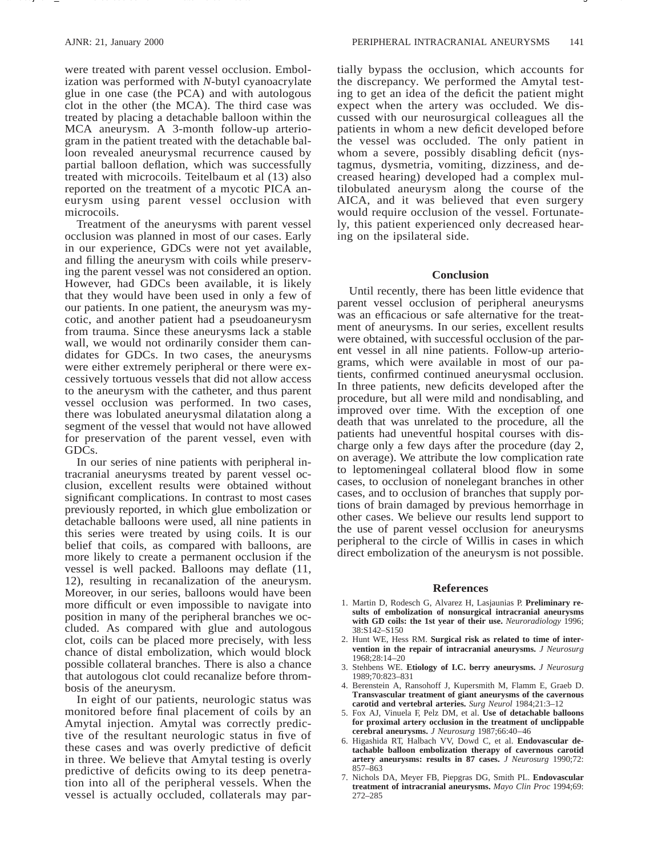were treated with parent vessel occlusion. Embolization was performed with *N*-butyl cyanoacrylate glue in one case (the PCA) and with autologous clot in the other (the MCA). The third case was treated by placing a detachable balloon within the MCA aneurysm. A 3-month follow-up arteriogram in the patient treated with the detachable balloon revealed aneurysmal recurrence caused by partial balloon deflation, which was successfully treated with microcoils. Teitelbaum et al (13) also reported on the treatment of a mycotic PICA aneurysm using parent vessel occlusion with microcoils.

Treatment of the aneurysms with parent vessel occlusion was planned in most of our cases. Early in our experience, GDCs were not yet available, and filling the aneurysm with coils while preserving the parent vessel was not considered an option. However, had GDCs been available, it is likely that they would have been used in only a few of our patients. In one patient, the aneurysm was mycotic, and another patient had a pseudoaneurysm from trauma. Since these aneurysms lack a stable wall, we would not ordinarily consider them candidates for GDCs. In two cases, the aneurysms were either extremely peripheral or there were excessively tortuous vessels that did not allow access to the aneurysm with the catheter, and thus parent vessel occlusion was performed. In two cases, there was lobulated aneurysmal dilatation along a segment of the vessel that would not have allowed for preservation of the parent vessel, even with GDCs.

In our series of nine patients with peripheral intracranial aneurysms treated by parent vessel occlusion, excellent results were obtained without significant complications. In contrast to most cases previously reported, in which glue embolization or detachable balloons were used, all nine patients in this series were treated by using coils. It is our belief that coils, as compared with balloons, are more likely to create a permanent occlusion if the vessel is well packed. Balloons may deflate (11, 12), resulting in recanalization of the aneurysm. Moreover, in our series, balloons would have been more difficult or even impossible to navigate into position in many of the peripheral branches we occluded. As compared with glue and autologous clot, coils can be placed more precisely, with less chance of distal embolization, which would block possible collateral branches. There is also a chance that autologous clot could recanalize before thrombosis of the aneurysm.

In eight of our patients, neurologic status was monitored before final placement of coils by an Amytal injection. Amytal was correctly predictive of the resultant neurologic status in five of these cases and was overly predictive of deficit in three. We believe that Amytal testing is overly predictive of deficits owing to its deep penetration into all of the peripheral vessels. When the vessel is actually occluded, collaterals may par-

tially bypass the occlusion, which accounts for the discrepancy. We performed the Amytal testing to get an idea of the deficit the patient might expect when the artery was occluded. We discussed with our neurosurgical colleagues all the patients in whom a new deficit developed before the vessel was occluded. The only patient in whom a severe, possibly disabling deficit (nystagmus, dysmetria, vomiting, dizziness, and decreased hearing) developed had a complex multilobulated aneurysm along the course of the AICA, and it was believed that even surgery would require occlusion of the vessel. Fortunately, this patient experienced only decreased hearing on the ipsilateral side.

# **Conclusion**

Until recently, there has been little evidence that parent vessel occlusion of peripheral aneurysms was an efficacious or safe alternative for the treatment of aneurysms. In our series, excellent results were obtained, with successful occlusion of the parent vessel in all nine patients. Follow-up arteriograms, which were available in most of our patients, confirmed continued aneurysmal occlusion. In three patients, new deficits developed after the procedure, but all were mild and nondisabling, and improved over time. With the exception of one death that was unrelated to the procedure, all the patients had uneventful hospital courses with discharge only a few days after the procedure (day 2, on average). We attribute the low complication rate to leptomeningeal collateral blood flow in some cases, to occlusion of nonelegant branches in other cases, and to occlusion of branches that supply portions of brain damaged by previous hemorrhage in other cases. We believe our results lend support to the use of parent vessel occlusion for aneurysms peripheral to the circle of Willis in cases in which direct embolization of the aneurysm is not possible.

# **References**

- 1. Martin D, Rodesch G, Alvarez H, Lasjaunias P. **Preliminary results of embolization of nonsurgical intracranial aneurysms with GD coils: the 1st year of their use.** *Neuroradiology* 1996; 38:S142–S150
- 2. Hunt WE, Hess RM. **Surgical risk as related to time of intervention in the repair of intracranial aneurysms.** *J Neurosurg* 1968;28:14–20
- 3. Stehbens WE. **Etiology of I.C. berry aneurysms.** *J Neurosurg* 1989;70:823–831
- 4. Berenstein A, Ransohoff J, Kupersmith M, Flamm E, Graeb D. **Transvascular treatment of giant aneurysms of the cavernous carotid and vertebral arteries.** *Surg Neurol* 1984;21:3–12
- 5. Fox AJ, Vinuela F, Pelz DM, et al. **Use of detachable balloons for proximal artery occlusion in the treatment of unclippable cerebral aneurysms.** *J Neurosurg* 1987;66:40–46
- 6. Higashida RT, Halbach VV, Dowd C, et al. **Endovascular detachable balloon embolization therapy of cavernous carotid artery aneurysms: results in 87 cases.** *J Neurosurg* 1990;72: 857–863
- 7. Nichols DA, Meyer FB, Piepgras DG, Smith PL. **Endovascular treatment of intracranial aneurysms.** *Mayo Clin Proc* 1994;69: 272–285